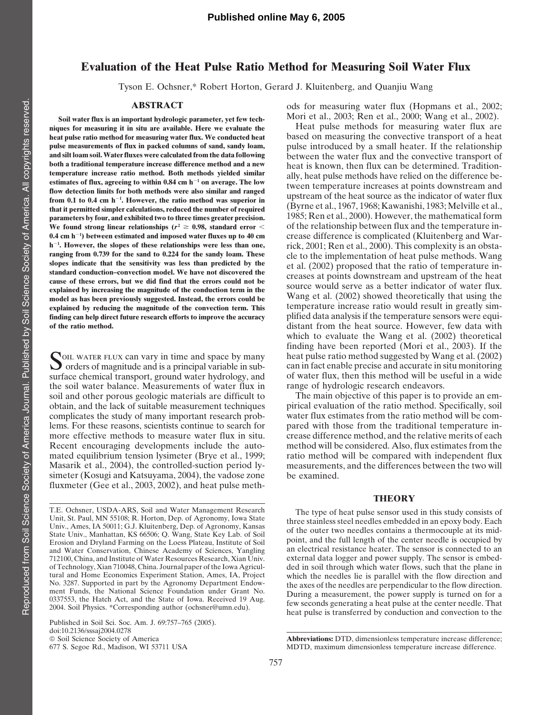## **Evaluation of the Heat Pulse Ratio Method for Measuring Soil Water Flux**

Tyson E. Ochsner,\* Robert Horton, Gerard J. Kluitenberg, and Quanjiu Wang

Soil water flux is an important hydrologic parameter, yet few tech-<br>Soil water flux is an important hydrologic parameter, yet few tech-<br>Heat pulse methods for measuring water flux are niques for measuring it in situ are available. Here we evaluate the  $0.4$  cm  $h^{-1}$ ) between estimated and imposed water fluxes up to  $40$  cm  $h^{-1}$ . However, the slopes of these relationships were less than one, finding can help direct future research efforts to improve the accuracy

the soil water balance. Measurements of water flux in range of hydrologic research endeavors.<br>soil and other porous geologic materials are difficult to The main objective of this paper is to provide an emsoil and other porous geologic materials are difficult to The main objective of this paper is to provide an em-<br>obtain, and the lack of suitable measurement techniques pirical evaluation of the ratio method. Specifically, lems. For these reasons, scientists continue to search for simeter (Kosugi and Katsuyama, 2004), the vadose zone be examined. fluxmeter (Gee et al., 2003, 2002), and heat pulse meth-

T.E. Ochsner, USDA-ARS, Soil and Water Management Research<br>
Unit, St. Paul, MN 55108; R. Horton, Dep. of Agronomy, Iowa State<br>
Univ., Ames, IA 50011; G.J. Kluitenberg, Dep. of Agronomy, Kansas<br>
State Univ., Manhattan, KS 6 Erosion and Dryland Farming on the Loess Plateau, Institute of Soil point, and the full length of the center needle is occupied by<br>Erosion and Dryland Farming on the Loess Plateau, Institute of Soil an electrical resistanc and Water Conservation, Chinese Academy of Sciences, Yangling an electrical resistance heater. The sensor is connected to an 712100. China and Institute of Water Resources Research. Xian Univ. external data logger and powe 712100, China, and Institute of Water Resources Research, Xian Univ.<br>of Technology, Xian 710048, China. Journal paper of the Iowa Agriculof Technology, Xian 710048, China. Journal paper of the Iowa Agricul- ded in soil through which water flows, such that the plane in

Published in Soil Sci. Soc. Am. J. 69:757–765 (2005). doi:10.2136/sssaj2004.0278<br>© Soil Science Society of America

**ABSTRACT** ods for measuring water flux (Hopmans et al., 2002;<br>
nortant hydrologic parameter yet fow tech. Mori et al., 2003; Ren et al., 2000; Wang et al., 2002).

**heat pulse ratio method for measuring water flux. We conducted heat** based on measuring the convective transport of a heat **pulse measurements of flux in packed columns of sand, sandy loam,** pulse introduced by a small heater. If the relationship **and silt loam soil. Water fluxes were calculated from the data following** between the water flux and the convective transport of both a traditional temperature increase difference method and a new beat is known then flux both a traditional temperature increase difference method and a new<br>temperature increase ratio method. Both methods yielded similar<br>estimates of flux, agreeing to within 0.84 cm h<sup>-1</sup> on average. The low<br>flow detection li From 0.1 to 0.4 cm h<sup>-1</sup>. However, the ratio method was superior in<br>
that it permitted simpler calculations, reduced the number of required<br>
narameters by four, and exhibited two to three times greater precision.<br>
1985; Re **parameters by four, and exhibited two to three times greater precision.** 1985; Ren et al., 2000). However, the mathematical form We found strong linear relationships  $(r^2 \ge 0.98$ , standard error  $\lt$  of the relationship We found strong linear relationships  $(r^2 \geq 0.98$ , standard error  $\lt$  of the relationship between flux and the temperature in**crease difference is complicated (Kluitenberg and Warh**<sup>-1</sup>. However, the slopes of these relationships were less than one, rick, 2001; Ren et al., 2000). This complexity is an obsta-ranging from 0.739 for the sand to 0.224 for the sandy loam. These cle to the implementatio ranging from 0.739 for the sand to 0.224 for the sandy loam. These<br>slopes indicate that the sensitivity was less than predicted by the<br>standard conduction-convection model. We have not discovered the<br>cause of these errors, **explained by increasing the magnitude of the conduction term in the**<br>
model as has been previously suggested. Instead, the errors could be<br>
wang et al. (2002) showed theoretically that using the<br>
explained by reducing the explained by reducing the magnitude of the convection term. This temperature increase ratio would result in greatly sim-<br>finding can help direct future research efforts to improve the accuracy plified data analysis if the **of the ratio method.** distant from the heat source. However, few data with which to evaluate the Wang et al. (2002) theoretical finding have been reported (Mori et al., 2003). If the **SOIL WATER FLUX can vary in time and space by many** heat pulse ratio method suggested by Wang et al. (2002) orders of magnitude and is a principal variable in sub-<br>
orders of magnitude and is a principal variable in sub-<br> surface chemical transport, ground water hydrology, and of water flux, then this method will be useful in a wide<br>the soil water balance. Measurements of water flux in range of hydrologic research endeavors.

obtain, and the lack of suitable measurement techniques pirical evaluation of the ratio method. Specifically, soil complicates the study of many important research prob-<br>lems. For these reasons, scientists continue to search for pared with those from the traditional temperature inmore effective methods to measure water flux in situ. crease difference method, and the relative merits of each<br>Recent encouraging developments include the auto-<br>method will be considered. Also, flux estimates from the Recent encouraging developments include the auto-<br>method will be considered. Also, flux estimates from the<br>mated equilibrium tension lysimeter (Brye et al., 1999; action method will be compared with independent flux ratio method will be compared with independent flux Masarik et al., 2004), the controlled-suction period ly- measurements, and the differences between the two will

### **THEORY**

tural and Home Economics Experiment Station, Ames, IA, Project which the needles lie is parallel with the flow direction and<br>
No. 3287. Supported in part by the Agronomy Department Endow<br>
ment Funds, the National Science F

<sup>©</sup> Soil Science Society of America **Abbreviations:** DTD, dimensionless temperature increase difference; MDTD, maximum dimensionless temperature increase difference.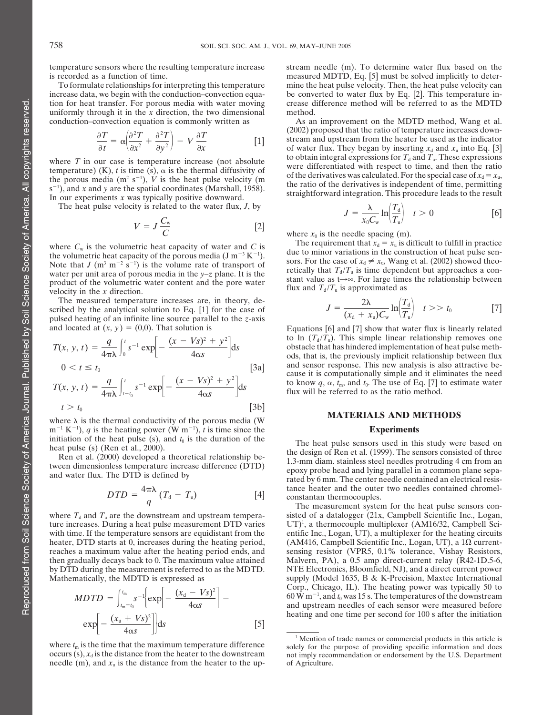uniformly through it in the  $\bar{x}$  direction, the two dimensional method. conduction–convection equation is commonly written as As an improvement on the MDTD method, Wang et al.

$$
\frac{\partial T}{\partial t} = \alpha \left( \frac{\partial^2 T}{\partial x^2} + \frac{\partial^2 T}{\partial y^2} \right) - V \frac{\partial T}{\partial x}
$$
 [1]

 $s^{-1}$ ), and x and y are the spatial coordinates (Marshall, 1958).<br>In our experiments x was typically positive downward.

The heat pulse velocity is related to the water flux, *<sup>J</sup>*, by *<sup>J</sup>*

$$
V = J \frac{C_{\rm w}}{C} \tag{2}
$$

water per unit area of porous media in the y-z plane. It is the<br>product of the volumetric water content and the pore water<br>velocity in the x direction.<br>velocity in the x direction.

The measured temperature increases are, in theory, de-<br>scribed by the analytical solution to Eq. [1] for the case of  $J = \frac{2\lambda}{(x + \mu)\sigma} \ln\left(\frac{T_d}{T}\right)$   $t >> t_0$  [7] pulsed heating of an infinite line source parallel to the *z*-axis and located at  $(x, y) = (0,0)$ . That solution is

$$
T(x, y, t) = \frac{q}{4\pi\lambda} \int_0^t s^{-1} \exp\left[-\frac{(x - Vs)^2 + y^2}{4\alpha s}\right] ds
$$
  
\n
$$
0 < t \le t_0
$$
  
\n
$$
T(x, y, t) = \frac{q}{4\pi\lambda} \int_{t-t_0}^t s^{-1} \exp\left[-\frac{(x - Vs)^2 + y^2}{4\alpha s}\right] ds
$$
  
\n
$$
t > t_0
$$
 [3b]

 $t > t_0$ <br>where  $\lambda$  is the thermal conductivity of the porous media (W **MATERIALS AND METHODS**  $m^{-1} K^{-1}$ , *q* is the heating power  $(W m^{-1})$ , *t* is time since the **Experiments** 

$$
DTD = \frac{4\pi\lambda}{q}(T_{\rm d} - T_{\rm u})
$$
 [4]

ture increases. During a heat pulse measurement DTD varies with time. If the temperature sensors are equidistant from the entific Inc., Logan, UT), a multiplexer for the heating circuits heater, DTD starts at 0, increases during the heating period, (AM416, Campbell Scientific Inc., Logan, UT), a  $1\Omega$  current-<br>reaches a maximum value after the heating period ends, and sensing resistor (VPR5, 0.1% toleranc then gradually decays back to 0. The maximum value attained by DTD during the measurement is referred to as the MDTD. NTE Electronics, Bloomfield, NJ), and a direct current power Mathematically, the MDTD is expressed as supply (Model 1635, B & K-Precision, Maxtec International

$$
MDTD = \int_{t_{\text{m}}-t_0}^{t_{\text{m}}} s^{-1} \left[ \exp \left[ -\frac{(x_d - Vs)^2}{4\alpha s} \right] - \exp \left[ -\frac{(x_u + Vs)^2}{4\alpha s} \right] \right] ds
$$
 [5]

needle  $(m)$ , and  $x<sub>u</sub>$  is the distance from the heater to the up- of Agriculture.

temperature sensors where the resulting temperature increase stream needle (m). To determine water flux based on the is recorded as a function of time. measured MDTD, Eq. [5] must be solved implicitly to deter-To formulate relationships for interpreting this temperature mine the heat pulse velocity. Then, the heat pulse velocity can increase data, we begin with the conduction–convection equa-<br>
tion for heat transfer. For porous media with water moving crease difference method will be referred to as the MDTD crease difference method will be referred to as the MDTD

(2002) proposed that the ratio of temperature increases downstream and upstream from the heater be used as the indicator of water flux. They began by inserting  $x_d$  and  $x_u$  into Eq. [3] to obtain integral expressions for  $T_d$  and  $T_u$ . These expressions where T in our case is temperature increase (not absolute<br>temperature) (K), t is time (s),  $\alpha$  is the thermal diffusivity of<br>the porous media (m<sup>2</sup> s<sup>-1</sup>), V is the heat pulse velocity (m<br> $\epsilon^{-1}$ ) and y and y and y and y straightforward integration. This procedure leads to the result

$$
J = \frac{\lambda}{x_0 C_{\rm w}} \ln \left( \frac{T_{\rm d}}{T_{\rm u}} \right) \quad t > 0 \tag{6}
$$

where  $x_0$  is the needle spacing (m).<br>The requirement that  $x_d = x_u$  is difficult to fulfill in practice where  $C_w$  is the volumetric heat capacity of water and C is<br>the volumetric heat capacity of the porous media  $(J m^{-3} K^{-1})$ .<br>Note that  $J (m^3 m^{-2} s^{-1})$  is the volume rate of transport of sors. For the case of  $x_d \neq x_u$ , Wang Note that  $J$  (m<sup>3</sup> m<sup>-2</sup> s<sup>-1</sup>) is the volume rate of transport of sors. For the case of  $x_d \neq x_u$ , Wang et al. (2002) showed theo-<br>water per unit area of porous media in the y-z plane. It is the expected by that  $T_d/T_u$ 

$$
J = \frac{2\lambda}{(x_d + x_u)C_w} \ln\left(\frac{T_d}{T_u}\right) \quad t >> t_0 \tag{7}
$$

Equations [6] and [7] show that water flux is linearly related to ln  $(T_d / T_u)$ . This simple linear relationship removes one  $\sigma$ (*x*) obstacle that has hindered implementation of heat pulse methods, that is, the previously implicit relationship between flux and sensor response. This new analysis is also attractive because it is computationally simple and it eliminates the need to know  $q$ ,  $\alpha$ ,  $t_m$ , and  $t_0$ . The use of Eq. [7] to estimate water flux will be referred to as the ratio method.

initiation of the heat pulse (s), and  $t_0$  is the duration of the<br>heat pulse sensors used in this study were based on<br>heat pulse (s) (Ren et al. (2000).<br>Ren et al. (2000) developed a theoretical relationship be-<br>tween di tance heater and the outer two needles contained chromelconstantan thermocouples.

The measurement system for the heat pulse sensors conwhere  $T_d$  and  $T_u$  are the downstream and upstream tempera-<br>ture increases. During a heat pulse measurement DTD varies  $UT)^1$ , a thermocouple multiplexer (AM16/32, Campbell Scisensing resistor (VPR5, 0.1% tolerance, Vishay Resistors, Malvern, PA), a 0.5 amp direct-current relay (R42-1D.5-6, Corp., Chicago, IL). The heating power was typically 50 to  $MDTD = \left| \int_{t-t_0}^{t_m} s^{-1} \left| \exp \left| - \frac{(x_d - Vs)^2}{4\alpha s} \right| \right| - 0$  60 W m<sup>-1</sup>, and *t*<sub>0</sub> was 15 s. The temperatures of the downstream and upstream needles of each sensor were measured before heating and one time per second for 100 s after the initiation

where  $t_m$  is the time that the maximum temperature difference<br>occurs (s),  $x_d$  is the distance from the heater to the downstream<br>occurs (s),  $x_d$  is the distance from the heater to the downstream<br>or imply recommendation not imply recommendation or endorsement by the U.S. Department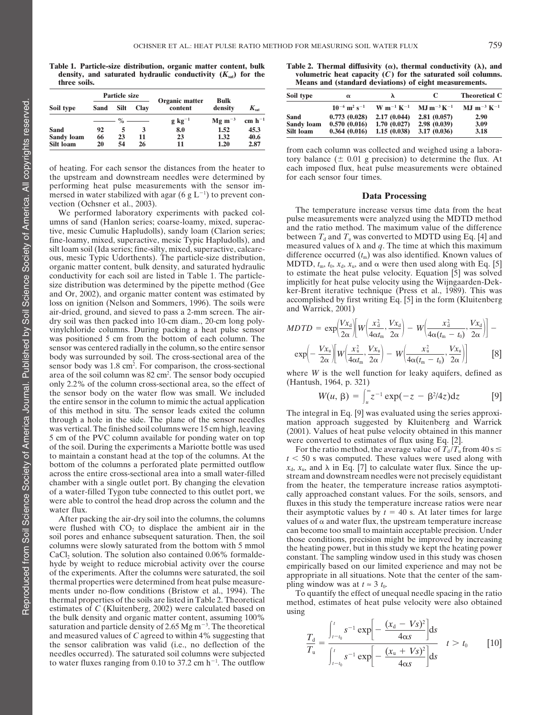**Table 1. Particle-size distribution, organic matter content, bulk Table 2. Thermal diffusivity (), thermal conductivity (**-

|                           |          | <b>Particle size</b>                  |      | Organic matter      | <b>Bulk</b>  |                                 | Soil type                 | $\alpha$                                 |                            |                                      | <b>Theoretical C</b>                 |
|---------------------------|----------|---------------------------------------|------|---------------------|--------------|---------------------------------|---------------------------|------------------------------------------|----------------------------|--------------------------------------|--------------------------------------|
| Soil type                 | Sand     | Silt                                  | Clav | content             | density      | $K_{\scriptscriptstyle\rm sat}$ |                           | $10^{-6}$ m <sup>2</sup> s <sup>-1</sup> |                            | $W m^{-1} K^{-1}$ MJ $m^{-3} K^{-1}$ | $MJ$ m <sup>-3</sup> K <sup>-1</sup> |
|                           |          | $\longrightarrow$ % $\longrightarrow$ |      | $g \text{ kg}^{-1}$ | $Mg m^{-3}$  | cm $h^{-1}$                     | Sand<br><b>Sandy loam</b> | 0.773(0.028)<br>0.570(0.016)             | 2.17(0.044)<br>1.70(0.027) | 2.81(0.057)<br>2.98(0.039)           | 2.90<br>3.09                         |
| Sand<br><b>Sandy loam</b> | 92<br>66 | 23                                    |      | 8.0<br>23           | 1.52<br>1.32 | 45.3<br>40.6                    | Silt loam                 | 0.364(0.016)                             | 1.15(0.038)                | 3.17(0.036)                          | 3.18                                 |
| Silt loam                 | 20       | 54                                    | 26   |                     | 1.20         | 2.87                            |                           |                                          | $\cdots$                   |                                      |                                      |

the upstream and downstream needles were determined by performing heat pulse measurements with the sensor immersed in water stabilized with agar  $(6 \text{ g L}^{-1})$  to prevent con-<br>vection (Ochsner et al., 2003).

ous, mesic Typic Udorthents). The particle-size distribution,<br>organic matter content, bulk density, and saturated hydraulic<br>conductivity for each soil are listed in Table 1. The particle-<br>size distribution was determined dry soil was then packed into 10-cm diam., 20-cm long poly-<br>vinylchloride columns. During packing a heat pulse sensor  $MDTD = \exp\left(\frac{Vx_d}{2\alpha}\right) \left[W\left(\frac{x_d^2}{4\alpha t_m}, \frac{Vx_d}{2\alpha}\right) - W\left(\frac{x_d^2}{4\alpha (t_m - t_0)}, \frac{Vx_d}{2\alpha}\right)\right]$ was positioned 5 cm from the bottom of each column. The sensor was centered radially in the column, so the entire sensor body was surrounded by soil. The cross-sectional area of the sensor body was 1.8 cm<sup>2</sup>. For comparison, the cross-sectional only  $2.2\%$  of the column cross-sectional area, so the effect of the sensor body on the water flow was small. We included the entire sensor in the column to mimic the actual application of this method in situ. The sensor leads exited the column<br>through a hole in the side. The plane of the sensor needles<br>was vertical. The finished soil columns were 15 cm high, leaving<br>5 cm of the PVC column available for

saturation and particle density of 2.65  $Mg m^{-3}$ . The theoretical and measured values of *C* agreed to within 4% suggesting that the sensor calibration was valid (i.e., no deflection of the needles occurred). The saturated soil columns were subjected to water fluxes ranging from 0.10 to 37.2 cm  $h^{-1}$ . The outflow

Table 2. Thermal diffusivity  $(\alpha)$ , thermal conductivity  $(\lambda)$ , and density, and saturated hydraulic conductivity  $(K_{sat})$  for the volumetric heat capacity  $(C)$  for the saturated soil columns.<br> **Means and (standard deviations)** of eight measurements. **Means and (standard deviations) of eight measurements.** 

| cle size |             | Organic matter      | Bulk                           |                  | Soil type          | $\alpha$                                      |             |                                                                                                                                                  | <b>Theoretical C</b> |
|----------|-------------|---------------------|--------------------------------|------------------|--------------------|-----------------------------------------------|-------------|--------------------------------------------------------------------------------------------------------------------------------------------------|----------------------|
| Silt     | <b>Clay</b> | content             | density                        | $K_{\text{sat}}$ |                    |                                               |             | $10^{-6}$ m <sup>2</sup> s <sup>-1</sup> W m <sup>-1</sup> K <sup>-1</sup> MJ m <sup>-3</sup> K <sup>-1</sup> MJ m <sup>-3</sup> K <sup>-1</sup> |                      |
|          | $\%$ ——     | $g \text{ kg}^{-1}$ | $Mg \, m^{-3} \, cm \, h^{-1}$ |                  | Sand<br>Sandy loam | $0.773(0.028)$ 2.17 $(0.044)$<br>0.570(0.016) | 1.70(0.027) | 2.81(0.057)<br>2.98 (0.039)                                                                                                                      | 2.90<br>3.09         |
| 23       |             | 8.0<br>23           | 1.52<br>1.32.                  | 45.3<br>40.6     | Silt loam          | $0.364(0.016)$ 1.15 (0.038)                   |             | 3.17(0.036)                                                                                                                                      | 3.18                 |

from each column was collected and weighed using a laboratory balance  $(\pm 0.01 \text{ g precision})$  to determine the flux. At of heating. For each sensor the distances from the heater to each imposed flux, heat pulse measurements were obtained the upstream and downstream needles were determined by for each sensor four times.

vection (Ochsner et al., 2003).<br>We performed laboratory experiments with packed col-<br>umns of sand (Hanlon series: coarse-loamy mixed superace pulse measurements were analyzed using the MDTD method umns of sand (Hanlon series; coarse-loamy, mixed, superac-<br>tive, mesic Cumulic Hapludolls), sandy loam (Clarion series;<br>fine-loamy, mixed, superactive, mesic Typic Hapludolls), and<br>silt loam soil (Ida series: fine-silty m silt loam soil (Ida series; fine-silty, mixed, superactive, calcare-<br>ous, mesic Typic Udorthents). The particle-size distribution, difference occurred  $(t_m)$  was also identified. Known values of

$$
MDTD = \exp\left(\frac{Vx_d}{2\alpha}\right) \left[W\left(\frac{x_d^2}{4\alpha t_m}, \frac{Vx_d}{2\alpha}\right) - W\left(\frac{x_d^2}{4\alpha (t_m - t_0)}, \frac{Vx_d}{2\alpha}\right)\right] - \exp\left(-\frac{Vx_u}{2\alpha}\right) \left[W\left(\frac{x_u^2}{4\alpha t_m}, \frac{Vx_u}{2\alpha}\right) - W\left(\frac{x_u^2}{4\alpha (t_m - t_0)}, \frac{Vx_u}{2\alpha}\right)\right] \tag{8}
$$

area of the soil column was  $82 \text{ cm}^2$ . The sensor body occupied where *W* is the well function for leaky aquifers, defined as only 2.2% of the column cross-sectional area, so the effect of (Hantush, 1964, p. 321)

$$
W(u, \beta) = \int_{u}^{\infty} z^{-1} \exp(-z - \beta^2/4z) dz
$$
 [9]

For the ratio method, the average value of  $T_d/T_u$  from 40 s  $\leq$ to maintain a constant head at the top of the columns At the top.<br>
by the columns At the wind  $x_0$ ,  $x_1$ , and  $\lambda$  in Eq. [7] to calculate water flux, the metric consesses<br>
be not columns a perforated plate permitted ou

$$
\frac{T_{\rm d}}{T_{\rm u}} = \frac{\int_{t-t_0}^{t} s^{-1} \exp\left[-\frac{(x_{\rm d} - Vs)^2}{4\alpha s}\right] \mathrm{d}s}{\int_{t-t_0}^{t} s^{-1} \exp\left[-\frac{(x_{\rm u} + Vs)^2}{4\alpha s}\right] \mathrm{d}s} \quad t > t_0 \quad [10]
$$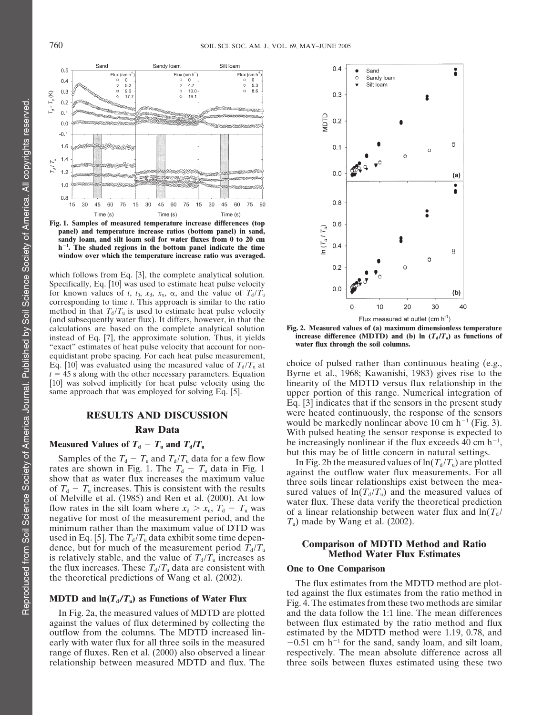

**panel) and temperature increase ratios (bottom panel) in sand, sandy loam, and silt loam soil for water fluxes from 0 to 20 cm h<sup>1</sup> . The shaded regions in the bottom panel indicate the time window over which the temperature increase ratio was averaged.**

which follows from Eq. [3], the complete analytical solution. Specifically, Eq. [10] was used to estimate heat pulse velocity for known values of *t*,  $t_0$ ,  $x_d$ ,  $x_u$ ,  $\alpha$ , and the value of  $T_d/T_u$ corresponding to time *t*. This approach is similar to the ratio method in that  $T_d/T_u$  is used to estimate heat pulse velocity (and subsequently water flux). It differs, however, in that the calculations are based on the complete analytical solution **Fig. 2. Measured values of (a) maximum dimensionless temperature**<br>instead of Eq. [7], the approximate solution. Thus, it yields **increase difference (MDTD) and (** instead of Eq. [7], the approximate solution. Thus, it yields **increase difference (MDTD)** and (**t** "exact" estimates of heat pulse velocity that account for non-<br>water flux through the soil columns. equidistant probe spacing. For each heat pulse measurement,

Samples of the  $T_d - T_u$  and  $T_d/T_u$  data for a few flow<br>show that as water flux increases the maximum value<br>of  $T_d - T_u$  increases. This is consistent with the results<br>of Melville et al. (1985) and Ren et al. (2000). At low<br>f used in Eq. [5]. The  $T_d/T_u$  data exhibit some time dependence, but for much of the measurement period  $T_d/T_u$ <br>is relatively stable, and the value of  $T_d/T_u$  increases as **Comparison of MDTD Method and Ratio**<br>**Method Water F** the flux increases. These  $T_d/T_u$  data are consistent with **One to One Comparison**<br>the theoretical predictions of Wang et al. (2002). The flux estimates from the MDTD method are plot-

range of fluxes. Ren et al. (2000) also observed a linear



Eq. [10] was evaluated using the measured value of  $T_d/T_u$  at choice of pulsed rather than continuous heating (e.g.,  $t = 45$  s along with the other necessary parameters. Equation Byrne et al., 1968; Kawanishi, 1983) gives Byrne et al., 1968; Kawanishi, 1983) gives rise to the [10] was solved implicitly for heat pulse velocity using the linearity of the MDTD versus flux relationship in the upper portion of this range. Numerical integration of Eq. [3] indicates that if the sensors in the present study **RESULTS AND DISCUSSION** were heated continuously, the response of the sensors would be markedly nonlinear above 10 cm  $h^{-1}$  (Fig. 3). **Raw Data** With pulsed heating the sensor response is expected to **heasured Values of**  $T_d - T_u$  and  $T_d/T_u$  be increasingly nonlinear if the flux exceeds 40 cm h<sup>-1</sup>, but this may be of little concern in natural settings.

**MDTD and**  $\ln(T_d/T_u)$  **as Functions of Water Flux** feed against the flux estimates from the ratio method in Fig. 4. The estimates from these two methods are similar In Fig. 2a, the measured values of MDTD are plotted and the data follow the 1:1 line. The mean differences against the values of flux determined by collecting the between flux estimated by the ratio method and flux between flux estimated by the ratio method and flux outflow from the columns. The MDTD increased lin- estimated by the MDTD method were 1.19, 0.78, and early with water flux for all three soils in the measured  $-0.51$  cm h<sup>-1</sup> for the sand, sandy loam, and silt loam, respectively. The mean absolute difference across all relationship between measured MDTD and flux. The three soils between fluxes estimated using these two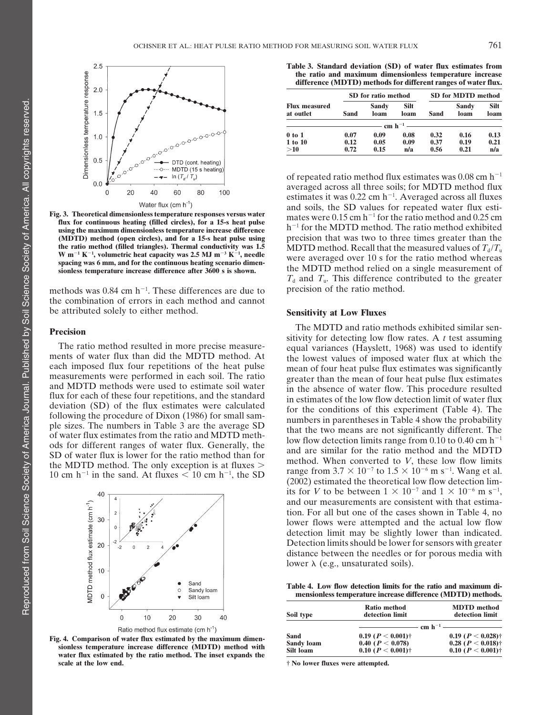

 $W$  m<sup> $-1$ </sup> K<sup> $-1$ </sup>, volumetric heat capacity was 2.5 MJ m<sup> $-3$ </sup> K<sup> $-1$ </sup>, needle

methods was  $0.84$  cm h<sup>-1</sup>. These differences are due to precision of the ratio method. the combination of errors in each method and cannot be attributed solely to either method. **Sensitivity at Low Fluxes**

10 cm h<sup>-1</sup> in the sand. At fluxes  $\leq 10$  cm h<sup>-1</sup>, the SD



Ratio method flux estimate (cm  $h^{-1}$ )

Fig. 4. Comparison of water flux estimated by the maximum dimensionless temperature increase difference (MDTD) method with water flux estimated by the ratio method. The inset expands the **scale at the low end. † No lower fluxes were attempted.**

**Table 3. Standard deviation (SD) of water flux estimates from the ratio and maximum dimensionless temperature increase difference (MDTD) methods for different ranges of water flux.**

|                                   |      | SD for ratio method |                                             |      | <b>SD for MDTD method</b> |                     |
|-----------------------------------|------|---------------------|---------------------------------------------|------|---------------------------|---------------------|
| <b>Flux measured</b><br>at outlet | Sand | Sandy<br>loam       | <b>Silt</b><br>loam                         | Sand | Sandy<br>loam             | <b>Silt</b><br>loam |
|                                   |      |                     | $-$ cm $h^{-1}$ $\overline{\phantom{12mm}}$ |      |                           |                     |
| $0$ to $1$                        | 0.07 | 0.09                | 0.08                                        | 0.32 | 0.16                      | 0.13                |
| 1 to 10                           | 0.12 | 0.05                | 0.09                                        | 0.37 | 0.19                      | 0.21                |
| >10                               | 0.72 | 0.15                | n/a                                         | 0.56 | 0.21                      | n/a                 |

of repeated ratio method flux estimates was  $0.08$  cm h<sup>-1</sup> averaged across all three soils; for MDTD method flux estimates it was  $0.22$  cm h<sup>-1</sup>. Averaged across all fluxes Water flux (cm h<sup>1</sup>) and soils, the SD values for repeated water flux esti-<br>flux for continuous heating (filled circles), for a 15-s heat pulse using the maximum dimensionless temperature increase difference<br>using the max **(MDTD)** method (open circles), and for a 15-s heat pulse using precision that was two to three times greater than the example of  $\mu$  and for a 15-s heat pulse using precision that was two to three times greater than the **the ratio method (filled triangles). Thermal conductivity was 1.5 MDTD method. Recall that the measured values of**  $T_d/T_u$ **<br>W m<sup>-1</sup> K<sup>-1</sup>, volumetric heat capacity was 2.5 MJ m<sup>-3</sup> K<sup>-1</sup>, needle were averaged over 10 s for** W m<sup>-1</sup> K<sup>-1</sup>, volumetric heat capacity was 2.5 MJ m<sup>-3</sup> K<sup>-1</sup>, needle<br>spacing was 6 mm, and for the continuous heating scenario dimention-<br>sionless temperature increase difference after 3600 s is shown. the MDTD method r  $T_d$  and  $T_u$ . This difference contributed to the greater

**Precision**<br>
The ratio method resulted in more precise measure-<br>
The ratio method resulted in more precise measure-<br>
ments of water flux than did the MDTD method. At<br>
the lowest values of imposed water flux at which the<br> of water hux estimates from the ratio and MDTD incur-<br>ods for different ranges of water flux. Generally, the<br>SD of water flux is lower for the ratio method than for<br>the MDTD method. The only exception is at fluxes > metho range from  $3.7 \times 10^{-7}$  to  $1.5 \times 10^{-6}$  m s<sup>-1</sup>. Wang et al.  $(2002)$  estimated the theoretical low flow detection limits for *V* to be between  $1 \times 10^{-7}$  and  $1 \times 10^{-6}$  m s<sup>-1</sup>, and our measurements are consistent with that estimation. For all but one of the cases shown in Table 4, no lower flows were attempted and the actual low flow detection limit may be slightly lower than indicated. Detection limits should be lower for sensors with greater distance between the needles or for porous media with lower  $\lambda$  (e.g., unsaturated soils).

**Table 4. Low flow detection limits for the ratio and maximum dimensionless temperature increase difference (MDTD) methods.**

| Soil type         | <b>Ratio method</b><br>detection limit | <b>MDTD</b> method<br>detection limit    |
|-------------------|----------------------------------------|------------------------------------------|
|                   |                                        | $-$ cm $h^{-1}$ $\overline{\phantom{1}}$ |
| Sand              | 0.19 ( $P < 0.001$ )†                  | 0.19 ( $P < 0.028$ )†                    |
| <b>Sandy loam</b> | 0.40 ( $P < 0.078$ )                   | 0.28 ( $P < 0.018$ )†                    |
| Silt Ioam         | 0.10 ( $P < 0.001$ )†                  | 0.10 ( $P < 0.001$ )†                    |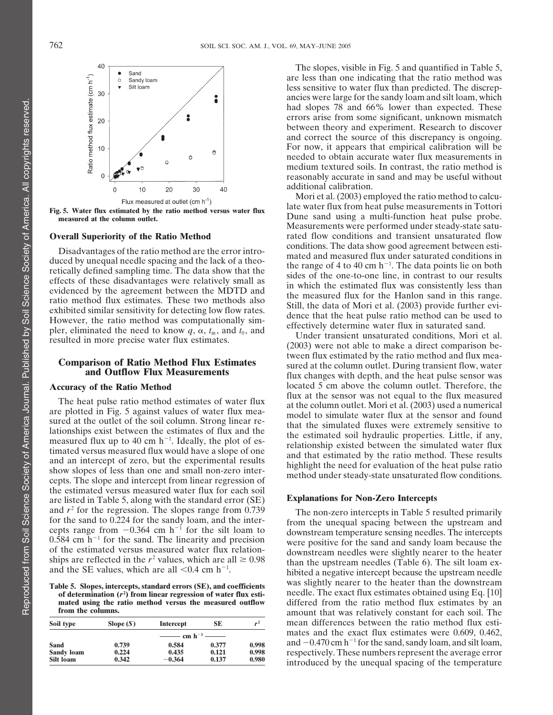

effects of these disadvantages were relatively small as<br>effects of these disadvantages were relatively small as<br>evidenced by the agreement between the MDTD and<br>evidenced by the agreement between the MDTD and<br>exhibited sim

measured flux up to 40 cm h<sup>-1</sup>. Ideally, the plot of estimated son hydrathe properties. Entie, it any,<br>timated versus measured flux would have a slope of one<br>and an intercept of zero, but the experimental results<br>show slo the estimated versus measured water flux for each soil are listed in Table 5, along with the standard error (SE) **Explanations for Non-Zero Intercepts** and  $r^2$  for the regression. The slopes range from 0.739<br>for the sand to 0.224 for the sandy loam, and the inter-<br>cepts range from -0.364 cm h<sup>-1</sup> for the silt loam to<br>0.584 cm h<sup>-1</sup> for the sand. The linearity and preci

| Soil type         | Slope $(S)$                                                    | Intercept | SE    | $r^2$ |
|-------------------|----------------------------------------------------------------|-----------|-------|-------|
|                   | $\frac{1}{\text{cm}}$ cm h <sup>-1</sup> $\frac{1}{\text{cm}}$ |           |       |       |
| <b>Sand</b>       | 0.739                                                          | 0.584     | 0.377 | 0.998 |
| <b>Sandy loam</b> | 0.224                                                          | 0.435     | 0.121 | 0.998 |
| Silt loam         | 0.342                                                          | $-0.364$  | 0.137 | 0.980 |

The slopes, visible in Fig. 5 and quantified in Table 5, are less than one indicating that the ratio method was less sensitive to water flux than predicted. The discrepancies were large for the sandy loam and silt loam, which had slopes 78 and 66% lower than expected. These errors arise from some significant, unknown mismatch between theory and experiment. Research to discover and correct the source of this discrepancy is ongoing. For now, it appears that empirical calibration will be needed to obtain accurate water flux measurements in medium textured soils. In contrast, the ratio method is reasonably accurate in sand and may be useful without additional calibration.

Mori et al. (2003) employed the ratio method to calcu-Flux measured at outlet (cm h<sup>-1</sup>)<br> **Fig. 5. Water flux estimated by the ratio method versus water flux**<br> **Examplements in Tottori**<br> **Examplements in Tottori**<br> **Examplements in Tottori**<br> **Examplements in Tottori**<br> **Example** Dune sand using a multi-function heat pulse probe. Measurements were performed under steady-state satu-**Overall Superiority of the Ratio Method** rated flow conditions and transient unsaturated flow conditions. The data show good agreement between esti-Disadvantages of the ratio method are the error intro-<br>duced by unequal needle spacing and the lack of a theo-<br>retically defined sampling time. The data show that the<br>eights and measured flux under saturated conditions in<br>

**Comparison of Ratio Method Flux Estimates**<br>**Comparison of Ratio Method Flux Estimates**<br>**Comparison of Ratio Method Flux Estimates**<br>**Extimates**<br>**Extimates**<br>**Extimates**<br>**Extimates**<br>**Extimates**<br>**Extimates**<br>**Extimates**<br>**Extim Accuracy of the Ratio Method** located 5 cm above the column outlet. Therefore, the flux at the sensor was not equal to the flux measured The heat pulse ratio method estimates of water flux<br>are plotted in Fig. 5 against values of water flux mea-<br>sured at the column outlet. Mori et al. (2003) used a numerical<br>sured at the outlet of the soil column. Strong li

ships are reflected in the  $r^2$  values, which are all  $\geq 0.98$  than the upstream needles (Table 6). The silt loam example the sequeles (Table 6). The silt loam ex-<br>hibited a negative intercept because the upstream need . hibited a negative intercept because the upstream needle **Table 5. Slopes, intercepts, standard errors (SE), and coefficients** was slightly nearer to the heater than the downstream of determination  $(r^2)$  from linear regression of water flux esti-<br>needle. The exact flux estimate of determination ( $r^2$ ) from linear regression of water flux esti-<br> **Definition** ( $r^2$ ) from linear regression of water flux esti-<br> **Definition** ( $r^2$ ) from linear regression of water flux esti-<br> **Definition** ( $r^2$ ) fr **mated using the ratio method versus the measured outflow** differed from the ratio method flux estimates by an **amount** that was relatively constant for each soil. The amount that was relatively constant for each soil. The mean differences between the ratio method flux estimates and the exact flux estimates were 0.609, 0.462, and  $-0.470$  cm h<sup>-1</sup> for the sand, sandy loam, and silt loam, respectively. These numbers represent the average error introduced by the unequal spacing of the temperature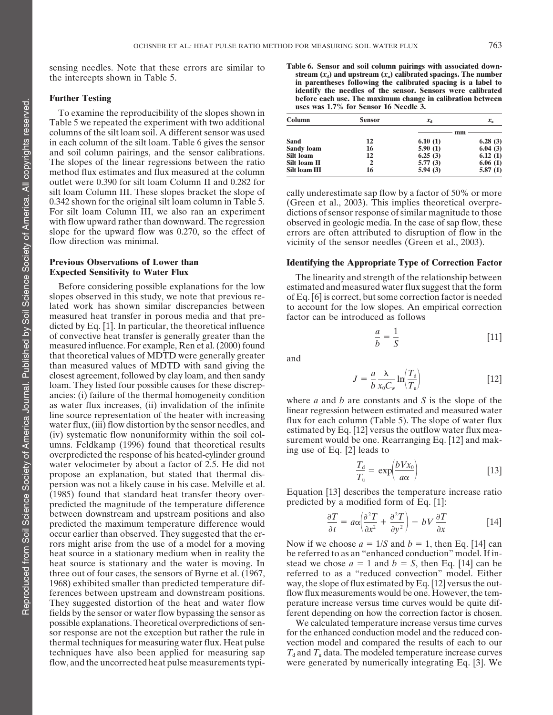To examine the reproducibility of the slopes shown in Table 5 we repeated the experiment with two additional columns of the silt loam soil. A different sensor was used **mm** in each column of the silt loam. Table 6 gives the sensor and soil column pairings, and the sensor calibrations. The slopes of the linear regressions between the ratio method flux estimates and flux measured at the column outlet were 0.390 for silt loam Column II and 0.282 for silt loam Column III. These slopes bracket the slope of cally underestimate sap flow by a factor of 50% or more<br>0.342 shown for the original silt loam column in Table 5. (Green et al., 2003). This implies theoretical overp

# **Previous Observations of Lower than** *Identifying the Appropriate Type of Correction Factor***<br>
<b>Expected Sensitivity to Water Flux Integral Correction of the contract of the substance of the contract of the contract of th**

measured heat transfer in porous media and that predicted by Eq. [1]. In particular, the theoretical influence of convective heat transfer is generally greater than the *<sup>a</sup>* measured influence. For example, Ren et al. (2000) found that theoretical values of MDTD were generally greater and than measured values of MDTD with sand giving the closest agreement, followed by clay loam, and then sandy loam. They listed four possible causes for these discrepancies: (i) failure of the thermal homogeneity condition<br>as water flux increases, (ii) invalidation of the infinite<br>line source representation of the heater with increasing<br>water flux, (iii) flow distortion by the sensor water velocimeter by about a factor of 2.5. He did not propose an explanation, but stated that thermal dispersion was not a likely cause in his case. Melville et al. (1985) found that standard heat transfer theory over-<br>predicted the magnitude of the temperature difference<br>predicted by a modified form of Eq. [1]: predicted the magnitude of the temperature difference between downstream and upstream positions and also predicted the maximum temperature difference would occur earlier than observed. They suggested that the errors might arise from the use of a model for a moving Now if we choose  $a = 1/S$  and  $b = 1$ , then Eq. [14] can fields by the sensor or water flow bypassing the sensor as ferent depending on how the correction factor is chosen.<br>
possible explanations. Theoretical overpredictions of sen-<br>
We calculated temperature increase versus tim possible explanations. Theoretical overpredictions of senflow, and the uncorrected heat pulse measurements typi-

sensing needles. Note that these errors are similar to<br>the intercepts shown in Table 5.<br>**Table 6. Sensor and soil column pairings with associated down-**<br>**Table 5.**<br>**Table 1.**<br>**Table 1.**<br>**Table 1.**<br>**Intercepts shown in Tab identify the needles of the sensor. Sensors were calibrated Further Testing before each use. The maximum change in calibration between**<br> **before each uses was 1.7% for Sensor 16 Needle 3.** 

| Column        | <b>Sensor</b> | $x_a$   | $x_{\rm n}$ |
|---------------|---------------|---------|-------------|
|               |               |         | mm          |
| <b>Sand</b>   | 12            | 6.10(1) | 6.28(3)     |
| Sandy loam    | 16            | 5.90(1) | 6.04(3)     |
| Silt loam     | 12            | 6.25(3) | 6.12(1)     |
| Silt loam II  | 2             | 5.77(3) | 6.06(1)     |
| Silt loam III | 16            | 5.94(3) | 5.87(1)     |

0.342 shown for the original silt loam column in Table 5. (Green et al., 2003). This implies theoretical overpre-<br>For silt loam Column III, we also ran an experiment dictions of sensor response of similar magnitude to thos For silt loam Column III, we also ran an experiment dictions of sensor response of similar magnitude to those with flow upward rather than downward. The regression observed in geologic media. In the case of sap flow, these with flow upward rather than downward. The regression observed in geologic media. In the case of sap flow, these slope for the upward flow was 0.270, so the effect of errors are often attributed to disruption of flow in th slope for the upward flow was 0.270, so the effect of errors are often attributed to disruption of flow in the flow direction was minimal. vicinity of the sensor needles (Green et al., 2003).

**Experience Sensitivity to Water Flux**<br>Before considering possible explanations for the low estimated and measured water flux suggest that the form Before considering possible explanations for the low estimated and measured water flux suggest that the form slopes observed in this study, we note that previous re-<br>of Eq. [6] is correct, but some correction factor is nee of Eq. [6] is correct, but some correction factor is needed lated work has shown similar discrepancies between to account for the low slopes. An empirical correction measured heat transfer in porous media and that pre-<br>factor can be introduced as follows

$$
\frac{a}{b} = \frac{1}{S} \tag{11}
$$

$$
J = \frac{a}{b} \frac{\lambda}{x_0 C_w} \ln \left( \frac{T_d}{T_u} \right) \tag{12}
$$

$$
\frac{T_{\rm d}}{T_{\rm u}} = \exp\left(\frac{bVx_0}{a\alpha}\right) \tag{13}
$$

$$
\frac{\partial T}{\partial t} = a\alpha \left(\frac{\partial^2 T}{\partial x^2} + \frac{\partial^2 T}{\partial y^2}\right) - bV\frac{\partial T}{\partial x} \tag{14}
$$

heat source in a stationary medium when in reality the be referred to as an "enhanced conduction" model. If inheat source is stationary and the water is moving. In stead we chose  $a = 1$  and  $b = S$ , then Eq. [14] can be three out of four cases, the sensors of Byrne et al. (1967, referred to as a "reduced convection" model. Either 1968) exhibited smaller than predicted temperature dif- way, the slope of flux estimated by Eq. [12] versus the outferences between upstream and downstream positions. flow flux measurements would be one. However, the tem-They suggested distortion of the heat and water flow perature increase versus time curves would be quite dif-

sor response are not the exception but rather the rule in for the enhanced conduction model and the reduced conthermal techniques for measuring water flux. Heat pulse vection model and compared the results of each to our techniques have also been applied for measuring sap  $T_d$  and  $T_u$  data. The modeled temperature increase curves flow, and the uncorrected heat pulse measurements typi-<br>were generated by numerically integrating Eq. [3]. We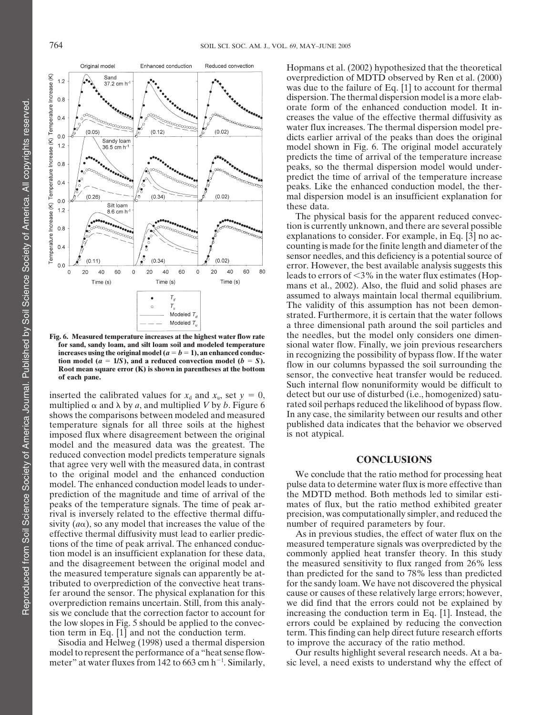

multiplied  $\alpha$  and  $\lambda$  by *a*, and multiplied *V* by *b*. Figure 6 rated soil perhaps reduced the likelihood of bypass flow.<br>shows the comparisons between modeled and measured In any case, the similarity between our res shows the comparisons between modeled and measured In any case, the similarity between our results and other<br>temperature signals for all three soils at the highest published data indicates that the behavior we observed temperature signals for all three soils at the highest published data innosed flux where disagreement between the original is not atypical. imposed flux where disagreement between the original model and the measured data was the greatest. The reduced convection model predicts temperature signals **CONCLUSIONS** that agree very well with the measured data, in contrast **CONCLUSIONS** to the original model and the enhanced conduction<br>model. The enhanced conduction model leads to under-<br>pulse data to determine water flux is more effective than model. The enhanced conduction model leads to under-<br>pulse data to determine water flux is more effective than<br>prediction of the magnitude and time of arrival of the MDTD method. Both methods led to similar estiprediction of the magnitude and time of arrival of the peaks of the temperature signals. The time of peak ar- mates of flux, but the ratio method exhibited greater rival is inversely related to the effective thermal diffu- precision, was computationally simpler, and reduced the sivity  $(a\alpha)$ , so any model that increases the value of the number of required parameters by four. effective thermal diffusivity must lead to earlier predic- As in previous studies, the effect of water flux on the

Sisodia and Helweg (1998) used a thermal dispersion to improve the accuracy of the ratio method. model to represent the performance of a "heat sense flow- Our results highlight several research needs. At a bameter" at water fluxes from 142 to 663 cm  $h^{-1}$ . Similarly,

Hopmans et al. (2002) hypothesized that the theoretical overprediction of MDTD observed by Ren et al. (2000) was due to the failure of Eq. [1] to account for thermal dispersion. The thermal dispersion model is a more elaborate form of the enhanced conduction model. It increases the value of the effective thermal diffusivity as water flux increases. The thermal dispersion model predicts earlier arrival of the peaks than does the original model shown in Fig. 6. The original model accurately predicts the time of arrival of the temperature increase peaks, so the thermal dispersion model would underpredict the time of arrival of the temperature increase peaks. Like the enhanced conduction model, the thermal dispersion model is an insufficient explanation for these data.

The physical basis for the apparent reduced convection is currently unknown, and there are several possible explanations to consider. For example, in Eq. [3] no accounting is made for the finite length and diameter of the sensor needles, and this deficiency is a potential source of error. However, the best available analysis suggests this leads to errors of  $\leq 3\%$  in the water flux estimates (Hopmans et al., 2002). Also, the fluid and solid phases are assumed to always maintain local thermal equilibrium. The validity of this assumption has not been demonstrated. Furthermore, it is certain that the water follows a three dimensional path around the soil particles and Fig. 6. Measured temperature increases at the highest water flow rate the needles, but the model only considers one dimen**for sand, sandy loam, and silt loam soil and modeled temperature** sional water flow. Finally, we join previous researchers increases using the original model ( $a = b = 1$ ), an enhanced conduction recognizing the possibility in recognizing the possibility of bypass flow. If the water<br>tion model ( $a = 1/S$ ), and a reduced convection model ( $b = S$ ).<br>Root mean square error (K) is shown in parentheses at the bottom<br>of each pane.<br>Sensor, the convecti Such internal flow nonuniformity would be difficult to inserted the calibrated values for  $x_d$  and  $x_u$ , set  $y = 0$ , detect but our use of disturbed (i.e., homogenized) satu-<br>multiplied  $\alpha$  and  $\lambda$  by a, and multiplied V by b. Figure 6 rated soil perhaps reduced the likelih

tions of the time of peak arrival. The enhanced conduc- measured temperature signals was overpredicted by the tion model is an insufficient explanation for these data, commonly applied heat transfer theory. In this study and the disagreement between the original model and the measured sensitivity to flux ranged from 26% less the measured temperature signals can apparently be at- than predicted for the sand to 78% less than predicted tributed to overprediction of the convective heat trans- for the sandy loam. We have not discovered the physical fer around the sensor. The physical explanation for this cause or causes of these relatively large errors; however, overprediction remains uncertain. Still, from this analy- we did find that the errors could not be explained by sis we conclude that the correction factor to account for increasing the conduction term in Eq. [1]. Instead, the the low slopes in Fig. 5 should be applied to the convection errors could be explained by reducing the conve errors could be explained by reducing the convection tion term in Eq. [1] and not the conduction term. term. This finding can help direct future research efforts

sic level, a need exists to understand why the effect of